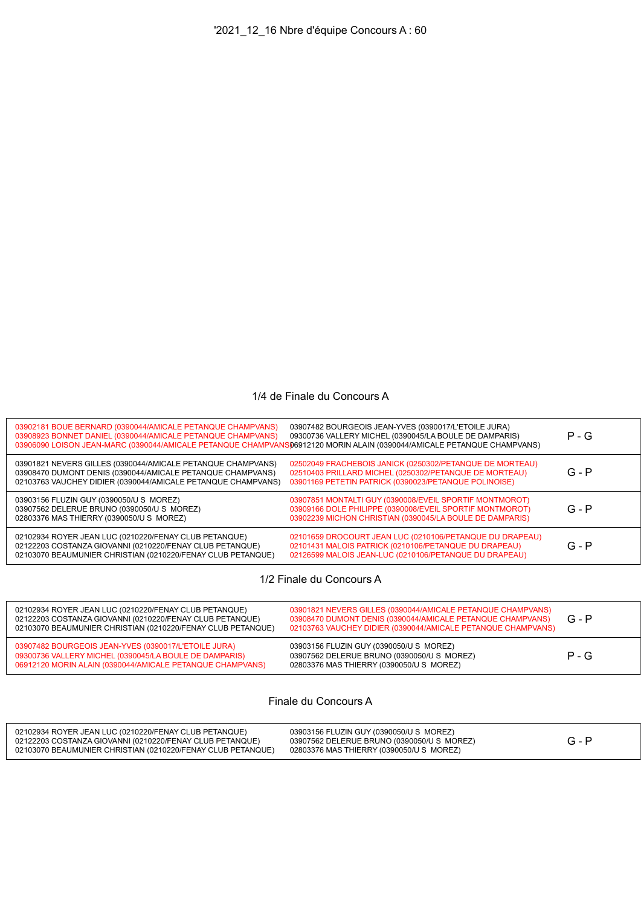## 1/4 de Finale du Concours A

| 03902181 BOUE BERNARD (0390044/AMICALE PETANQUE CHAMPVANS)<br>03908923 BONNET DANIEL (0390044/AMICALE PETANQUE CHAMPVANS)<br>03906090 LOISON JEAN-MARC (0390044/AMICALE PETANQUE CHAMPVANS06912120 MORIN ALAIN (0390044/AMICALE PETANQUE CHAMPVANS) | 03907482 BOURGEOIS JEAN-YVES (0390017/L'ETOILE JURA)<br>09300736 VALLERY MICHEL (0390045/LA BOULE DE DAMPARIS)                                                                  | $P - G$ |
|-----------------------------------------------------------------------------------------------------------------------------------------------------------------------------------------------------------------------------------------------------|---------------------------------------------------------------------------------------------------------------------------------------------------------------------------------|---------|
| 03901821 NEVERS GILLES (0390044/AMICALE PETANQUE CHAMPVANS)<br>03908470 DUMONT DENIS (0390044/AMICALE PETANQUE CHAMPVANS)<br>02103763 VAUCHEY DIDIER (0390044/AMICALE PETANQUE CHAMPVANS)                                                           | 02502049 FRACHEBOIS JANICK (0250302/PETANQUE DE MORTEAU)<br>02510403 PRILLARD MICHEL (0250302/PETANQUE DE MORTEAU)<br>03901169 PETETIN PATRICK (0390023/PETANQUE POLINOISE)     | $G - P$ |
| 03903156 FLUZIN GUY (0390050/U S MOREZ)<br>03907562 DELERUE BRUNO (0390050/U S MOREZ)<br>02803376 MAS THIERRY (0390050/U S MOREZ)                                                                                                                   | 03907851 MONTALTI GUY (0390008/EVEIL SPORTIF MONTMOROT)<br>03909166 DOLE PHILIPPE (0390008/EVEIL SPORTIF MONTMOROT)<br>03902239 MICHON CHRISTIAN (0390045/LA BOULE DE DAMPARIS) | $G - P$ |
| 02102934 ROYER JEAN LUC (0210220/FENAY CLUB PETANQUE)<br>02122203 COSTANZA GIOVANNI (0210220/FENAY CLUB PETANQUE)<br>02103070 BEAUMUNIER CHRISTIAN (0210220/FENAY CLUB PETANQUE)                                                                    | 02101659 DROCOURT JEAN LUC (0210106/PETANQUE DU DRAPEAU)<br>02101431 MALOIS PATRICK (0210106/PETANQUE DU DRAPEAU)<br>02126599 MALOIS JEAN-LUC (0210106/PETANQUE DU DRAPEAU)     | $G - P$ |
|                                                                                                                                                                                                                                                     |                                                                                                                                                                                 |         |

1/2 Finale du Concours A

| 02102934 ROYER JEAN LUC (0210220/FENAY CLUB PETANQUE)<br>02122203 COSTANZA GIOVANNI (0210220/FENAY CLUB PETANQUE)<br>02103070 BEAUMUNIER CHRISTIAN (0210220/FENAY CLUB PETANQUE) | 03901821 NEVERS GILLES (0390044/AMICALE PETANQUE CHAMPVANS)<br>03908470 DUMONT DENIS (0390044/AMICALE PETANQUE CHAMPVANS)<br>02103763 VAUCHEY DIDIER (0390044/AMICALE PETANQUE CHAMPVANS) | $G - P$ |
|----------------------------------------------------------------------------------------------------------------------------------------------------------------------------------|-------------------------------------------------------------------------------------------------------------------------------------------------------------------------------------------|---------|
| 03907482 BOURGEOIS JEAN-YVES (0390017/L'ETOILE JURA)<br>09300736 VALLERY MICHEL (0390045/LA BOULE DE DAMPARIS)<br>06912120 MORIN ALAIN (0390044/AMICALE PETANQUE CHAMPVANS)      | 03903156 FLUZIN GUY (0390050/U S MOREZ)<br>03907562 DELERUE BRUNO (0390050/U S MOREZ)<br>02803376 MAS THIERRY (0390050/U S MOREZ)                                                         | $P - G$ |

Finale du Concours A

| 02102934 ROYER JEAN LUC (0210220/FENAY CLUB PETANQUE)<br>02122203 COSTANZA GIOVANNI (0210220/FENAY CLUB PETANQUE)<br>02103070 BEAUMUNIER CHRISTIAN (0210220/FENAY CLUB PETANQUE) | 03903156 FLUZIN GUY (0390050/U S MOREZ)<br>03907562 DELERUE BRUNO (0390050/U S MOREZ)<br>02803376 MAS THIERRY (0390050/U S MOREZ) |  |  |
|----------------------------------------------------------------------------------------------------------------------------------------------------------------------------------|-----------------------------------------------------------------------------------------------------------------------------------|--|--|
|----------------------------------------------------------------------------------------------------------------------------------------------------------------------------------|-----------------------------------------------------------------------------------------------------------------------------------|--|--|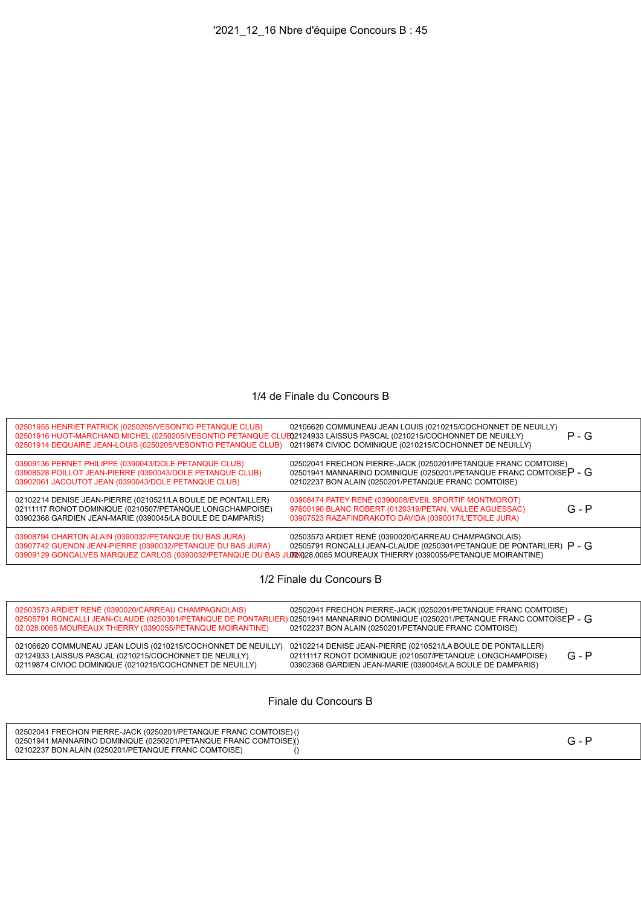## 1/4 de Finale du Concours B

| 02501955 HENRIET PATRICK (0250205/VESONTIO PETANQUE CLUB)<br>02501916 HUOT-MARCHAND MICHEL (0250205/VESONTIO PETANQUE CLUB)2124933 LAISSUS PASCAL (0210215/COCHONNET DE NEUILLY)<br>02501914 DEQUAIRE JEAN-LOUIS (0250205/VESONTIO PETANQUE CLUB) | 02106620 COMMUNEAU JEAN LOUIS (0210215/COCHONNET DE NEUILLY)<br>02119874 CIVIOC DOMINIQUE (0210215/COCHONNET DE NEUILLY)                                                                        | $P - G$ |
|---------------------------------------------------------------------------------------------------------------------------------------------------------------------------------------------------------------------------------------------------|-------------------------------------------------------------------------------------------------------------------------------------------------------------------------------------------------|---------|
| 03909136 PERNET PHILIPPE (0390043/DOLE PETANQUE CLUB)<br>03908528 POILLOT JEAN-PIERRE (0390043/DOLE PETANQUE CLUB)<br>03902061 JACOUTOT JEAN (0390043/DOLE PETANQUE CLUB)                                                                         | 02502041 FRECHON PIERRE-JACK (0250201/PETANQUE FRANC COMTOISE)<br>02501941 MANNARINO DOMINIQUE (0250201/PETANQUE FRANC COMTOISE $P - G$<br>02102237 BON ALAIN (0250201/PETANQUE FRANC COMTOISE) |         |
| 02102214 DENISE JEAN-PIERRE (0210521/LA BOULE DE PONTAILLER)<br>02111117 RONOT DOMINIQUE (0210507/PETANQUE LONGCHAMPOISE)<br>03902368 GARDIEN JEAN-MARIE (0390045/LA BOULE DE DAMPARIS)                                                           | 03908474 PATEY RENÉ (0390008/EVEIL SPORTIF MONTMOROT)<br>97600190 BLANC ROBERT (0120319/PETAN. VALLEE AGUESSAC)<br>03907523 RAZAFINDRAKOTO DAVIDA (0390017/L'ETOILE JURA)                       | $G - P$ |
| 03908794 CHARTON ALAIN (0390032/PETANQUE DU BAS JURA)<br>03907742 GUENON JEAN-PIERRE (0390032/PETANQUE DU BAS JURA)<br>03909129 GONCALVES MARQUEZ CARLOS (0390032/PETANQUE DU BAS JUD24028.0065 MOUREAUX THIERRY (0390055/PETANQUE MOIRANTINE)    | 02503573 ARDIET RENÉ (0390020/CARREAU CHAMPAGNOLAIS)<br>02505791 RONCALLI JEAN-CLAUDE (0250301/PETANQUE DE PONTARLIER) P - G                                                                    |         |
|                                                                                                                                                                                                                                                   |                                                                                                                                                                                                 |         |

1/2 Finale du Concours B

| 02503573 ARDIET RENÉ (0390020/CARREAU CHAMPAGNOLAIS)<br>02.028.0065 MOUREAUX THIERRY (0390055/PETANQUE MOIRANTINE)                                                                 | 02502041 FRECHON PIERRE-JACK (0250201/PETANQUE FRANC COMTOISE)<br>02505791 RONCALLI JEAN-CLAUDE (0250301/PETANQUE DE PONTARLIER) 02501941 MANNARINO DOMINIQUE (0250201/PETANQUE FRANC COMTOISE P - G<br>02102237 BON ALAIN (0250201/PETANQUE FRANC COMTOISE) |  |
|------------------------------------------------------------------------------------------------------------------------------------------------------------------------------------|--------------------------------------------------------------------------------------------------------------------------------------------------------------------------------------------------------------------------------------------------------------|--|
| 02106620 COMMUNEAU JEAN LOUIS (0210215/COCHONNET DE NEUILLY)<br>02124933 LAISSUS PASCAL (0210215/COCHONNET DE NEUILLY)<br>02119874 CIVIOC DOMINIQUE (0210215/COCHONNET DE NEUILLY) | 02102214 DENISE JEAN-PIERRE (0210521/LA BOULE DE PONTAILLER)<br>$G - P$<br>02111117 RONOT DOMINIQUE (0210507/PETANQUE LONGCHAMPOISE)<br>03902368 GARDIEN JEAN-MARIE (0390045/LA BOULE DE DAMPARIS)                                                           |  |

## Finale du Concours B

| 02502041 FRECHON PIERRE-JACK (0250201/PETANQUE FRANC COMTOISE) ()<br>02501941 MANNARINO DOMINIQUE (0250201/PETANQUE FRANC COMTOISE)()<br>02102237 BON ALAIN (0250201/PETANQUE FRANC COMTOISE) |  |
|-----------------------------------------------------------------------------------------------------------------------------------------------------------------------------------------------|--|
|-----------------------------------------------------------------------------------------------------------------------------------------------------------------------------------------------|--|